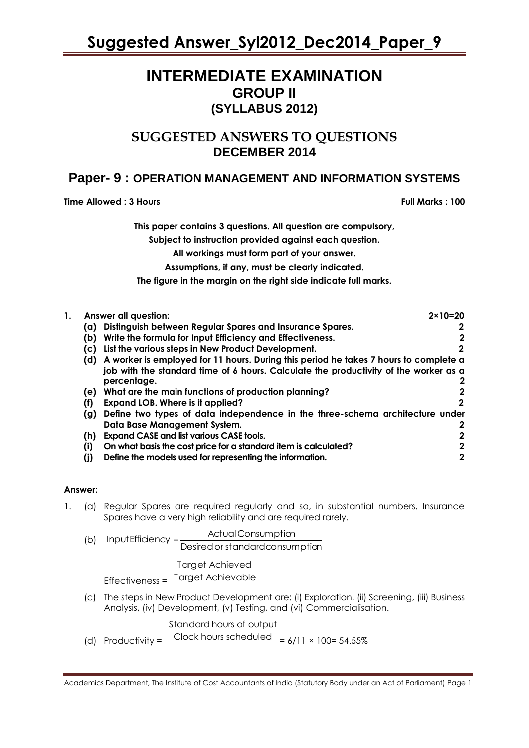### **INTERMEDIATE EXAMINATION GROUP II (SYLLABUS 2012)**

### **SUGGESTED ANSWERS TO QUESTIONS DECEMBER 2014**

### **Paper- 9 : OPERATION MANAGEMENT AND INFORMATION SYSTEMS**

**Time Allowed : 3 Hours Full Marks : 100** 

**This paper contains 3 questions. All question are compulsory,**

**Subject to instruction provided against each question.**

**All workings must form part of your answer.**

**Assumptions, if any, must be clearly indicated.**

**The figure in the margin on the right side indicate full marks.**

| 1. |     | <b>Answer all question:</b>                                                          | $2 \times 10 = 20$ |
|----|-----|--------------------------------------------------------------------------------------|--------------------|
|    | (Q) | Distinguish between Regular Spares and Insurance Spares.                             |                    |
|    | (b) | Write the formula for Input Efficiency and Effectiveness.                            |                    |
|    | (C) | List the various steps in New Product Development.                                   | 2                  |
|    | (d) | A worker is employed for 11 hours. During this period he takes 7 hours to complete a |                    |
|    |     | job with the standard time of 6 hours. Calculate the productivity of the worker as a |                    |
|    |     | percentage.                                                                          | 2                  |
|    | (e) | What are the main functions of production planning?                                  |                    |
|    | (f) | Expand LOB. Where is it applied?                                                     | 2                  |
|    | (g) | Define two types of data independence in the three-schema architecture under         |                    |
|    |     | Data Base Management System.                                                         |                    |
|    | (h) | <b>Expand CASE and list various CASE tools.</b>                                      |                    |
|    | (i) | On what basis the cost price for a standard item is calculated?                      | 2                  |
|    | (i) | Define the models used for representing the information.                             | 2                  |

### **Answer:**

1. (a) Regular Spares are required regularly and so, in substantial numbers. Insurance Spares have a very high reliability and are required rarely.

(b) Input Efficiency = Desiredor standardconsumption ActualConsumption

Target Achieved

Effectiveness = Target Achievable

(c) The steps in New Product Development are: (i) Exploration, (ii) Screening, (iii) Business Analysis, (iv) Development, (v) Testing, and (vi) Commercialisation.

### Standard hours of output

(d) Productivity = Clock hours scheduled = 6/11 × 100= 54.55%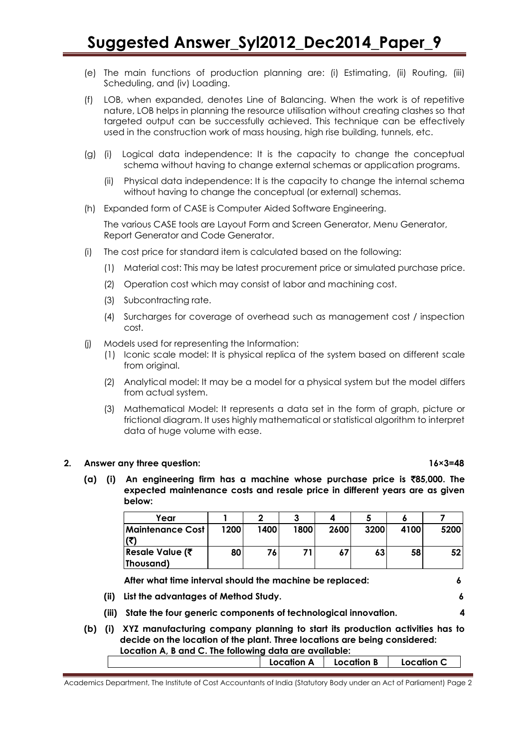- (e) The main functions of production planning are: (i) Estimating, (ii) Routing, (iii) Scheduling, and (iv) Loading.
- (f) LOB, when expanded, denotes Line of Balancing. When the work is of repetitive nature, LOB helps in planning the resource utilisation without creating clashes so that targeted output can be successfully achieved. This technique can be effectively used in the construction work of mass housing, high rise building, tunnels, etc.
- (g) (i) Logical data independence: It is the capacity to change the conceptual schema without having to change external schemas or application programs.
	- (ii) Physical data independence: It is the capacity to change the internal schema without having to change the conceptual (or external) schemas.
- (h) Expanded form of CASE is Computer Aided Software Engineering.

The various CASE tools are Layout Form and Screen Generator, Menu Generator, Report Generator and Code Generator.

- (i) The cost price for standard item is calculated based on the following:
	- (1) Material cost: This may be latest procurement price or simulated purchase price.
	- (2) Operation cost which may consist of labor and machining cost.
	- (3) Subcontracting rate.
	- (4) Surcharges for coverage of overhead such as management cost / inspection cost.
- (j) Models used for representing the Information:
	- (1) Iconic scale model: It is physical replica of the system based on different scale from original.
	- (2) Analytical model: It may be a model for a physical system but the model differs from actual system.
	- (3) Mathematical Model: It represents a data set in the form of graph, picture or frictional diagram. It uses highly mathematical or statistical algorithm to interpret data of huge volume with ease.

#### **2. Answer any three question: 16×3=48**

**(a) (i) An engineering firm has a machine whose purchase price is** `**85,000. The expected maintenance costs and resale price in different years are as given below:** 

| Year                         |      |      |      |      |      |      |                 |
|------------------------------|------|------|------|------|------|------|-----------------|
| <b>Maintenance Cost</b>      | 1200 | 1400 | 1800 | 2600 | 3200 | 4100 | 5200            |
| Resale Value (₹<br>Thousand) | 80   | 76   |      | 67   | 63   | 58   | 52 <sub>1</sub> |

**After what time interval should the machine be replaced: 6**

- **(ii) List the advantages of Method Study. 6**
- **(iii) State the four generic components of technological innovation. 4**
- **(b) (i) XYZ manufacturing company planning to start its production activities has to decide on the location of the plant. Three locations are being considered: Location A, B and C. The following data are available:**

| ocation A | <b>Location B</b> | Location<br>ີບ |  |
|-----------|-------------------|----------------|--|
|           |                   |                |  |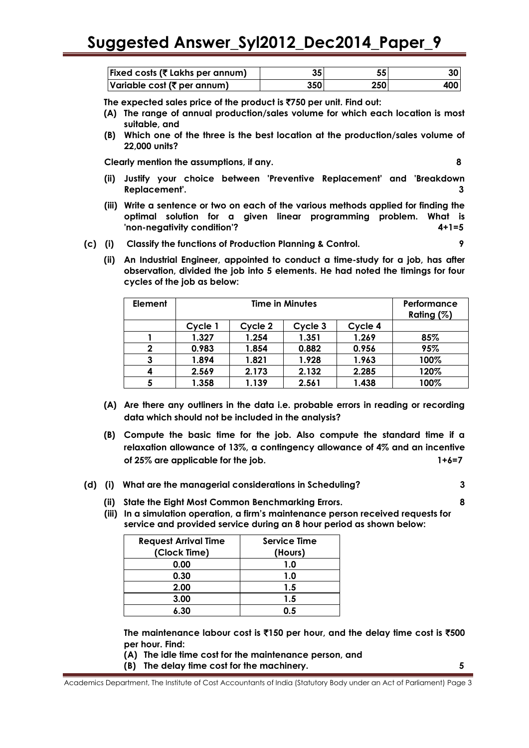| <b>Fixed costs (<math>\bar{\tau}</math> Lakhs per annum)</b> | 35               | 55' | 301 |
|--------------------------------------------------------------|------------------|-----|-----|
| Variable cost ( $\bar{\tau}$ per annum)                      | 350 <sup>1</sup> | 250 | 400 |

**The expected sales price of the product is** `**750 per unit. Find out:** 

- **(A) The range of annual production/sales volume for which each location is most suitable, and**
- **(B) Which one of the three is the best location at the production/sales volume of 22,000 units?**

**Clearly mention the assumptions, if any. 8**

- **(ii) Justify your choice between 'Preventive Replacement' and 'Breakdown Replacement'. 3**
- **(iii) Write a sentence or two on each of the various methods applied for finding the optimal solution for a given linear programming problem. What is 'non-negativity condition'? 4+1=5**
- **(c) (i) Classify the functions of Production Planning & Control. 9**
	- **(ii) An Industrial Engineer, appointed to conduct a time-study for a job, has after observation, divided the job into 5 elements. He had noted the timings for four cycles of the job as below:**

| Element |         | Performance<br>Rating $(\%)$ |         |         |      |
|---------|---------|------------------------------|---------|---------|------|
|         | Cycle 1 | Cycle 2                      | Cycle 3 | Cycle 4 |      |
|         | 1.327   | 1.254                        | 1.351   | 1.269   | 85%  |
| 2       | 0.983   | 1.854                        | 0.882   | 0.956   | 95%  |
|         | 1.894   | 1.821                        | 1.928   | 1.963   | 100% |
|         | 2.569   | 2.173                        | 2.132   | 2.285   | 120% |
| 5       | 1.358   | 1.139                        | 2.561   | 1.438   | 100% |

- **(A) Are there any outliners in the data i.e. probable errors in reading or recording data which should not be included in the analysis?**
- **(B) Compute the basic time for the job. Also compute the standard time if a relaxation allowance of 13%, a contingency allowance of 4% and an incentive of 25% are applicable for the job. 1+6=7**
- **(d) (i) What are the managerial considerations in Scheduling? 3**
- 

**(ii) State the Eight Most Common Benchmarking Errors. 8**

**(iii) In a simulation operation, a firm's maintenance person received requests for service and provided service during an 8 hour period as shown below:**

| <b>Request Arrival Time</b> | <b>Service Time</b> |
|-----------------------------|---------------------|
| (Clock Time)                | (Hours)             |
| 0.00                        | 1.0                 |
| 0.30                        | 1.0                 |
| 2.00                        | 1.5                 |
| 3.00                        | 1.5                 |
| 6.30                        | በ 5                 |

**The maintenance labour cost is** `**150 per hour, and the delay time cost is** `**500 per hour. Find:** 

**(A) The idle time cost for the maintenance person, and**

**(B) The delay time cost for the machinery. 5**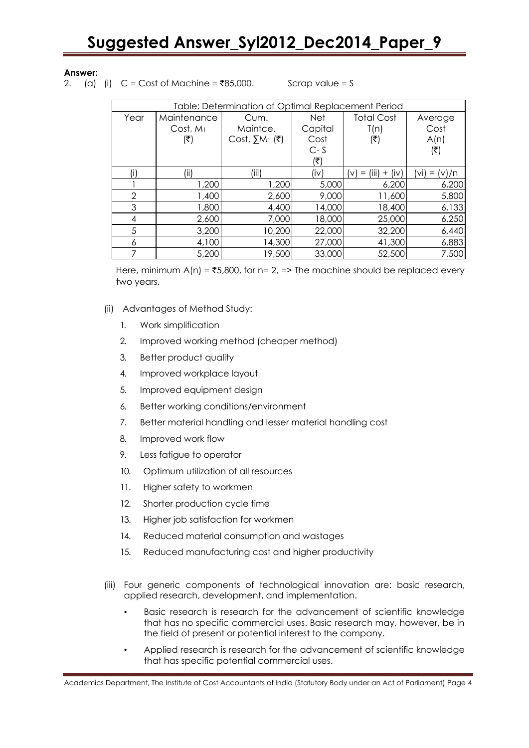#### **Answer:**

2. (a) (i)  $C = Cost of Machine = ₹85,000$ . Scrap value = S

|      | Table: Determination of Optimal Replacement Period |                        |            |                              |                    |  |  |  |  |  |
|------|----------------------------------------------------|------------------------|------------|------------------------------|--------------------|--|--|--|--|--|
| Year | Maintenance                                        | Cum.                   | <b>Net</b> | <b>Total Cost</b>            | Average            |  |  |  |  |  |
|      | Cost, M <sub>1</sub>                               | Maintce.               | Capital    | T(n)                         | Cost               |  |  |  |  |  |
|      | (₹)                                                | Cost, $\Sigma M_1$ (₹) | Cost       | (₹)                          | A(n)               |  |  |  |  |  |
|      |                                                    |                        | $C - S$    |                              | (₹)                |  |  |  |  |  |
|      |                                                    |                        | (₹)        |                              |                    |  |  |  |  |  |
| (i)  | (ii)                                               | (iii)                  | (iv)       | liv)<br>$^+$<br>$=$<br>(III) | v)/n<br>VI)<br>$=$ |  |  |  |  |  |
|      | 1,200                                              | 1,200                  | 5,000      | 6,200                        | 6,200              |  |  |  |  |  |
| 2    | 1,400                                              | 2,600                  | 9,000      | 11,600                       | 5,800              |  |  |  |  |  |
| 3    | 1,800                                              | 4,400                  | 14,000     | 18,400                       | 6,133              |  |  |  |  |  |
| 4    | 2,600                                              | 7,000                  | 18,000     | 25,000                       | 6,250              |  |  |  |  |  |
| 5    | 3,200                                              | 10,200                 | 22,000     | 32,200                       | 6,440              |  |  |  |  |  |
| 6    | 4,100                                              | 14,300                 | 27,000     | 41,300                       | 6,883              |  |  |  |  |  |
| 7    | 5,200                                              | 19,500                 | 33,000     | 52,500                       | 7,500              |  |  |  |  |  |

Here, minimum  $A(n) = ₹5,800$ , for n= 2, => The machine should be replaced every two years.

#### (ii) Advantages of Method Study:

- 1. Work simplification
- 2. Improved working method (cheaper method)
- 3. Better product quality
- 4. Improved workplace layout
- 5. Improved equipment design
- 6. Better working conditions/environment
- 7. Better material handling and lesser material handling cost
- 8. Improved work flow
- 9. Less fatigue to operator
- 10. Optimum utilization of all resources
- 11. Higher safety to workmen
- 12. Shorter production cycle time
- 13. Higher job satisfaction for workmen
- 14. Reduced material consumption and wastages
- 15. Reduced manufacturing cost and higher productivity
- (iii) Four generic components of technological innovation are: basic research, applied research, development, and implementation.
	- Basic research is research for the advancement of scientific knowledge that has no specific commercial uses. Basic research may, however, be in the field of present or potential interest to the company.
	- Applied research is research for the advancement of scientific knowledge that has specific potential commercial uses.

Academics Department, The Institute of Cost Accountants of India (Statutory Body under an Act of Parliament) Page 4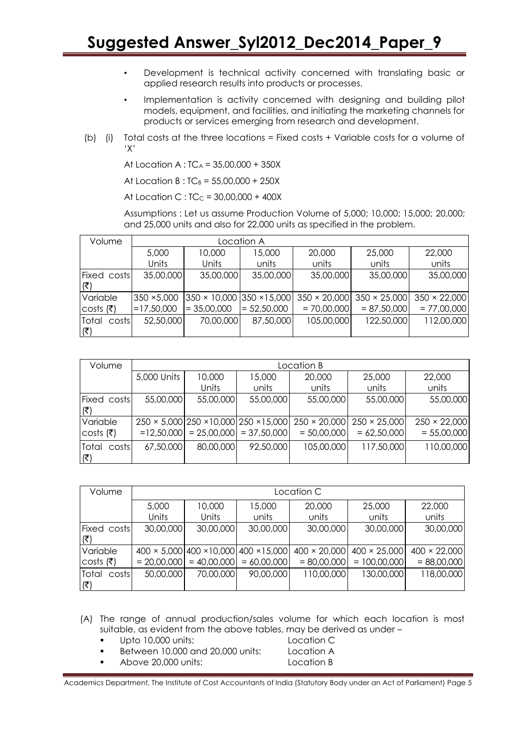- Development is technical activity concerned with translating basic or applied research results into products or processes.
- Implementation is activity concerned with designing and building pilot models, equipment, and facilities, and initiating the marketing channels for products or services emerging from research and development.
- (b) (i) Total costs at the three locations = Fixed costs + Variable costs for a volume of 'X'

At Location  $A$ : TC<sub>A</sub> = 35,00,000 + 350X

At Location B :  $TC_B = 55,00,000 + 250X$ 

At Location C :  $TC_C = 30,00,000 + 400X$ 

Assumptions : Let us assume Production Volume of 5,000; 10,000; 15,000; 20,000; and 25,000 units and also for 22,000 units as specified in the problem.

| Volume                    | Location A   |                                         |               |                     |                     |                     |
|---------------------------|--------------|-----------------------------------------|---------------|---------------------|---------------------|---------------------|
|                           | 5,000        | 10,000                                  | 15,000        | 20,000              | 25,000              | 22,000              |
|                           | Units        | Units                                   | units         | units               | units               | units               |
| <b>Fixed costs</b>        | 35,00,000    | 35,00,000                               | 35,00,000     | 35,00,000           | 35,00,000           | 35,00,000           |
| $(\overline{\mathbf{x}})$ |              |                                         |               |                     |                     |                     |
| Variable                  | 350 ×5,000   | $350 \times 10,000$ 350 $\times 15,000$ |               | $350 \times 20,000$ | $350 \times 25,000$ | $350 \times 22,000$ |
| costs (₹)                 | $=17,50,000$ | $= 35,00,000$                           | $= 52,50,000$ | $= 70,00,000$       | $= 87,50,000$       | $= 77,00,000$       |
| Total<br>costs            | 52,50,000    | 70,00,000                               | 87,50,000     | 105,00,000          | 122,50,000          | 112,00,000          |
| (₹)                       |              |                                         |               |                     |                     |                     |

| Volume               |               |           |                           | Location B                                                  |                     |                     |  |
|----------------------|---------------|-----------|---------------------------|-------------------------------------------------------------|---------------------|---------------------|--|
|                      | 5,000 Units   | 10,000    | 15,000                    | 20,000                                                      | 25,000              | 22,000              |  |
|                      |               | Units     | units                     | units                                                       | units               | units               |  |
| Fixed costs          | 55,00,000     | 55,00,000 | 55,00,000                 | 55,00,000                                                   | 55,00,000           | 55,00,000           |  |
| (₹)                  |               |           |                           |                                                             |                     |                     |  |
| Variable             |               |           |                           | $250 \times 5,000$  250 × 10,000 250 × 15,000  250 × 20,000 | $250 \times 25,000$ | $250 \times 22,000$ |  |
| costs $(\bar{\tau})$ | $= 12,50,000$ |           | $= 25,00,000$ = 37,50,000 | $= 50,00,000$                                               | $= 62,50,000$       | $= 55,00,000$       |  |
| Total<br>costs       | 67,50,000     | 80,00,000 | 92,50,000                 | 105,00,000                                                  | 117,50,000          | 110,00,000          |  |
| (₹)                  |               |           |                           |                                                             |                     |                     |  |

| Volume                    | Location C    |               |                                                            |                     |                     |                     |  |  |
|---------------------------|---------------|---------------|------------------------------------------------------------|---------------------|---------------------|---------------------|--|--|
|                           | 5,000         | 10,000        | 15,000                                                     | 20,000              | 25,000              | 22,000              |  |  |
|                           | Units         | Units         | units                                                      | units               | units               | units               |  |  |
| <b>Fixed costs</b>        | 30,00,000     | 30,00,000     | 30,00,000                                                  | 30,00,000           | 30,00,000           | 30,00,000           |  |  |
| (₹)                       |               |               |                                                            |                     |                     |                     |  |  |
| Variable                  |               |               | $400 \times 5,000$ 400 $\times$ 10,000 400 $\times$ 15,000 | $400 \times 20,000$ | $400 \times 25,000$ | $400 \times 22,000$ |  |  |
| costs $(\overline{\tau})$ | $= 20,00,000$ | $= 40,00,000$ | $= 60,00,000$                                              | $= 80,00,000$       | $= 100,00,000$      | $= 88,00,000$       |  |  |
| Total<br>costs            | 50,00,000     | 70,00,000     | 90,00,000                                                  | 110,00,000          | 130,00,000          | 118,00,000          |  |  |
| (₹)                       |               |               |                                                            |                     |                     |                     |  |  |

(A) The range of annual production/sales volume for which each location is most suitable, as evident from the above tables, may be derived as under –

- Upto 10,000 units: Location C Between 10,000 and 20,000 units: Location A
	-
	- Above 20,000 units: Location B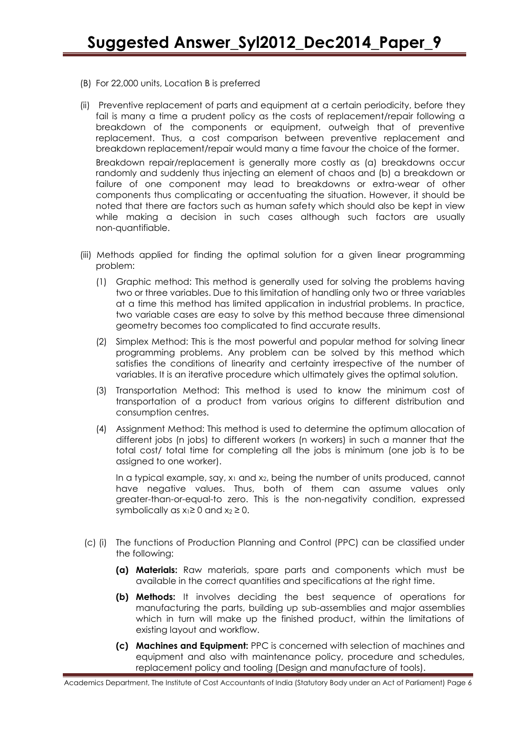- (B) For 22,000 units, Location B is preferred
- (ii) Preventive replacement of parts and equipment at a certain periodicity, before they fail is many a time a prudent policy as the costs of replacement/repair following a breakdown of the components or equipment, outweigh that of preventive replacement. Thus, a cost comparison between preventive replacement and breakdown replacement/repair would many a time favour the choice of the former.

Breakdown repair/replacement is generally more costly as (a) breakdowns occur randomly and suddenly thus injecting an element of chaos and (b) a breakdown or failure of one component may lead to breakdowns or extra-wear of other components thus complicating or accentuating the situation. However, it should be noted that there are factors such as human safety which should also be kept in view while making a decision in such cases although such factors are usually non-quantifiable.

- (iii) Methods applied for finding the optimal solution for a given linear programming problem:
	- (1) Graphic method: This method is generally used for solving the problems having two or three variables. Due to this limitation of handling only two or three variables at a time this method has limited application in industrial problems. In practice, two variable cases are easy to solve by this method because three dimensional geometry becomes too complicated to find accurate results.
	- (2) Simplex Method: This is the most powerful and popular method for solving linear programming problems. Any problem can be solved by this method which satisfies the conditions of linearity and certainty irrespective of the number of variables. It is an iterative procedure which ultimately gives the optimal solution.
	- (3) Transportation Method: This method is used to know the minimum cost of transportation of a product from various origins to different distribution and consumption centres.
	- (4) Assignment Method: This method is used to determine the optimum allocation of different jobs (n jobs) to different workers (n workers) in such a manner that the total cost/ total time for completing all the jobs is minimum (one job is to be assigned to one worker).

In a typical example, say,  $x_1$  and  $x_2$ , being the number of units produced, cannot have negative values. Thus, both of them can assume values only greater-than-or-equal-to zero. This is the non-negativity condition, expressed symbolically as  $x_1 \ge 0$  and  $x_2 \ge 0$ .

- (c) (i) The functions of Production Planning and Control (PPC) can be classified under the following:
	- **(a) Materials:** Raw materials, spare parts and components which must be available in the correct quantities and specifications at the right time.
	- **(b) Methods:** It involves deciding the best sequence of operations for manufacturing the parts, building up sub-assemblies and major assemblies which in turn will make up the finished product, within the limitations of existing layout and workflow.
	- **(c) Machines and Equipment:** PPC is concerned with selection of machines and equipment and also with maintenance policy, procedure and schedules, replacement policy and tooling (Design and manufacture of tools).

Academics Department, The Institute of Cost Accountants of India (Statutory Body under an Act of Parliament) Page 6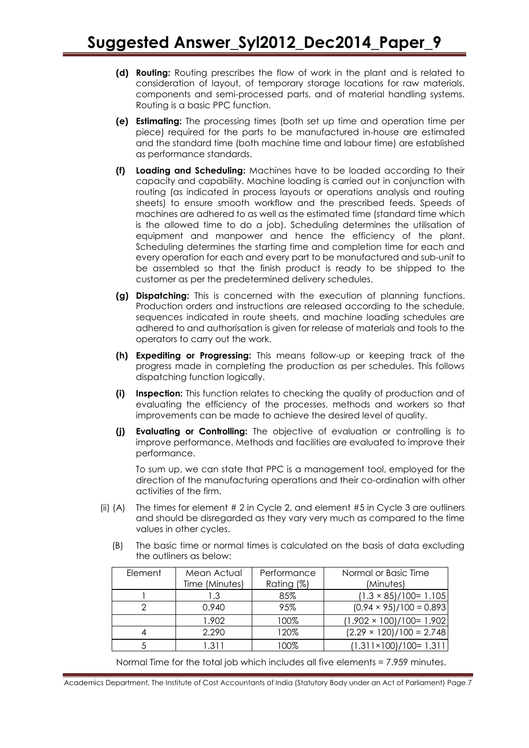- **(d) Routing:** Routing prescribes the flow of work in the plant and is related to consideration of layout, of temporary storage locations for raw materials, components and semi-processed parts, and of material handling systems. Routing is a basic PPC function.
- **(e) Estimating:** The processing times (both set up time and operation time per piece) required for the parts to be manufactured in-house are estimated and the standard time (both machine time and labour time) are established as performance standards.
- **(f) Loading and Scheduling:** Machines have to be loaded according to their capacity and capability. Machine loading is carried out in conjunction with routing (as indicated in process layouts or operations analysis and routing sheets) to ensure smooth workflow and the prescribed feeds. Speeds of machines are adhered to as well as the estimated time (standard time which is the allowed time to do a job). Scheduling determines the utilisation of equipment and manpower and hence the efficiency of the plant. Scheduling determines the starting time and completion time for each and every operation for each and every part to be manufactured and sub-unit to be assembled so that the finish product is ready to be shipped to the customer as per the predetermined delivery schedules.
- **(g) Dispatching:** This is concerned with the execution of planning functions. Production orders and instructions are released according to the schedule, sequences indicated in route sheets, and machine loading schedules are adhered to and authorisation is given for release of materials and tools to the operators to carry out the work.
- **(h) Expediting or Progressing:** This means follow-up or keeping track of the progress made in completing the production as per schedules. This follows dispatching function logically.
- **(i) Inspection:** This function relates to checking the quality of production and of evaluating the efficiency of the processes, methods and workers so that improvements can be made to achieve the desired level of quality.
- **(j) Evaluating or Controlling:** The objective of evaluation or controlling is to improve performance. Methods and facilities are evaluated to improve their performance.

To sum up, we can state that PPC is a management tool, employed for the direction of the manufacturing operations and their co-ordination with other activities of the firm.

- (ii) (A) The times for element # 2 in Cycle 2, and element #5 in Cycle 3 are outliners and should be disregarded as they vary very much as compared to the time values in other cycles.
	- (B) The basic time or normal times is calculated on the basis of data excluding the outliners as below:

| Element | Mean Actual<br>Time (Minutes) | Performance<br>Rating (%) | Normal or Basic Time<br>(Minutes) |
|---------|-------------------------------|---------------------------|-----------------------------------|
|         |                               |                           |                                   |
|         | 1.3                           | 85%                       | $(1.3 \times 85)/100 = 1.105$     |
|         | 0.940                         | 95%                       | $(0.94 \times 95)/100 = 0.893$    |
|         | 1.902                         | 100%                      | $(1.902 \times 100)/100 = 1.902$  |
|         | 2.290                         | 120%                      | $(2.29 \times 120)/100 = 2.748$   |
|         | 1.311                         | 100%                      | $(1.311 \times 100)/100 = 1.311$  |

Normal Time for the total job which includes all five elements = 7.959 minutes.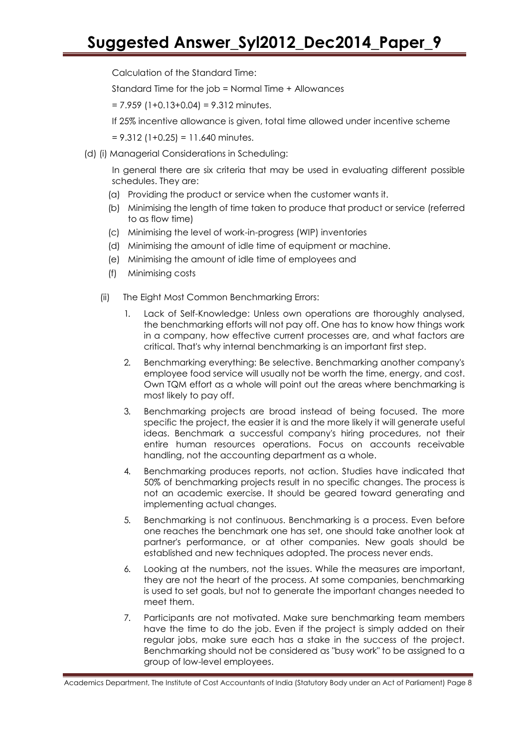Calculation of the Standard Time:

Standard Time for the job = Normal Time + Allowances

 $= 7.959$  (1+0.13+0.04) = 9.312 minutes.

If 25% incentive allowance is given, total time allowed under incentive scheme

 $= 9.312$  (1+0.25) = 11.640 minutes.

(d) (i) Managerial Considerations in Scheduling:

In general there are six criteria that may be used in evaluating different possible schedules. They are:

- (a) Providing the product or service when the customer wants it.
- (b) Minimising the length of time taken to produce that product or service (referred to as flow time)
- (c) Minimising the level of work-in-progress (WIP) inventories
- (d) Minimising the amount of idle time of equipment or machine.
- (e) Minimising the amount of idle time of employees and
- (f) Minimising costs
- (ii) The Eight Most Common Benchmarking Errors:
	- 1. Lack of Self-Knowledge: Unless own operations are thoroughly analysed, the benchmarking efforts will not pay off. One has to know how things work in a company, how effective current processes are, and what factors are critical. That's why internal benchmarking is an important first step.
	- 2. Benchmarking everything: Be selective. Benchmarking another company's employee food service will usually not be worth the time, energy, and cost. Own TQM effort as a whole will point out the areas where benchmarking is most likely to pay off.
	- 3. Benchmarking projects are broad instead of being focused. The more specific the project, the easier it is and the more likely it will generate useful ideas. Benchmark a successful company's hiring procedures, not their entire human resources operations. Focus on accounts receivable handling, not the accounting department as a whole.
	- 4. Benchmarking produces reports, not action. Studies have indicated that 50% of benchmarking projects result in no specific changes. The process is not an academic exercise. It should be geared toward generating and implementing actual changes.
	- 5. Benchmarking is not continuous. Benchmarking is a process. Even before one reaches the benchmark one has set, one should take another look at partner's performance, or at other companies. New goals should be established and new techniques adopted. The process never ends.
	- 6. Looking at the numbers, not the issues. While the measures are important, they are not the heart of the process. At some companies, benchmarking is used to set goals, but not to generate the important changes needed to meet them.
	- 7. Participants are not motivated. Make sure benchmarking team members have the time to do the job. Even if the project is simply added on their regular jobs, make sure each has a stake in the success of the project. Benchmarking should not be considered as "busy work" to be assigned to a group of low-level employees.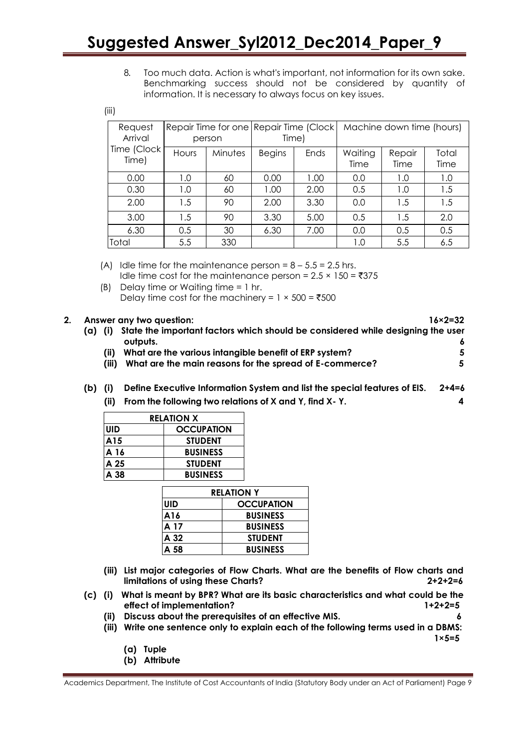8. Too much data. Action is what's important, not information for its own sake. Benchmarking success should not be considered by quantity of information. It is necessary to always focus on key issues.

(iii)

| Request<br>Arrival   | Repair Time for one Repair Time (Clock)<br>person |         | Time)         |      | Machine down time (hours) |                |               |
|----------------------|---------------------------------------------------|---------|---------------|------|---------------------------|----------------|---------------|
| Time (Clock<br>Time) | Hours                                             | Minutes | <b>Begins</b> | Ends | Waiting<br>Time           | Repair<br>Time | Total<br>Time |
| 0.00                 | 1.0                                               | 60      | 0.00          | 1.00 | 0.0                       | 1.0            | 1.0           |
| 0.30                 | 1.0                                               | 60      | 1.00          | 2.00 | 0.5                       | 1.0            | 1.5           |
| 2.00                 | 1.5                                               | 90      | 2.00          | 3.30 | 0.0                       | 1.5            | 1.5           |
| 3.00                 | 1.5                                               | 90      | 3.30          | 5.00 | 0.5                       | 1.5            | 2.0           |
| 6.30                 | 0.5                                               | 30      | 6.30          | 7.00 | 0.0                       | 0.5            | 0.5           |
| Total                | 5.5                                               | 330     |               |      | 1.0                       | 5.5            | 6.5           |

- (A) Idle time for the maintenance person =  $8 5.5 = 2.5$  hrs. Idle time cost for the maintenance person =  $2.5 \times 150 = ₹375$
- (B) Delay time or Waiting time = 1 hr. Delay time cost for the machinery =  $1 \times 500 =$  ₹500

|         |                                                         | $16 \times 2 = 32$                                                                                          |
|---------|---------------------------------------------------------|-------------------------------------------------------------------------------------------------------------|
| (a) (i) |                                                         |                                                                                                             |
|         | outputs.                                                |                                                                                                             |
| (ii)    | What are the various intangible benefit of ERP system?  | -5                                                                                                          |
| (iii)   | What are the main reasons for the spread of E-commerce? | 5.                                                                                                          |
|         |                                                         |                                                                                                             |
|         |                                                         | Answer any two question:<br>State the important factors which should be considered while designing the user |

- **(b) (i) Define Executive Information System and list the special features of EIS. 2+4=6**
	- **(ii) From the following two relations of X and Y, find X- Y. 4**

| <b>RELATION X</b> |                   |  |
|-------------------|-------------------|--|
| <b>UID</b>        | <b>OCCUPATION</b> |  |
| <b>A15</b>        | <b>STUDENT</b>    |  |
| A 16              | <b>BUSINESS</b>   |  |
| IA 25             | <b>STUDENT</b>    |  |
| IA 38             | <b>BUSINESS</b>   |  |

| RELATION Y |                   |  |  |  |
|------------|-------------------|--|--|--|
| UID        | <b>OCCUPATION</b> |  |  |  |
| A16        | <b>BUSINESS</b>   |  |  |  |
| A 17       | <b>BUSINESS</b>   |  |  |  |
| A 32       | <b>STUDENT</b>    |  |  |  |
| A 58       | <b>BUSINESS</b>   |  |  |  |

- **(iii) List major categories of Flow Charts. What are the benefits of Flow charts and limitations of using these Charts? 2+2+2=6**
- **(c) (i) What is meant by BPR? What are its basic characteristics and what could be the effect of implementation? 1+2+2=5**
	- **(ii) Discuss about the prerequisites of an effective MIS. 6**
	- **(iii) Write one sentence only to explain each of the following terms used in a DBMS: 1×5=5**
		- **(a) Tuple**
		- **(b) Attribute**

Academics Department, The Institute of Cost Accountants of India (Statutory Body under an Act of Parliament) Page 9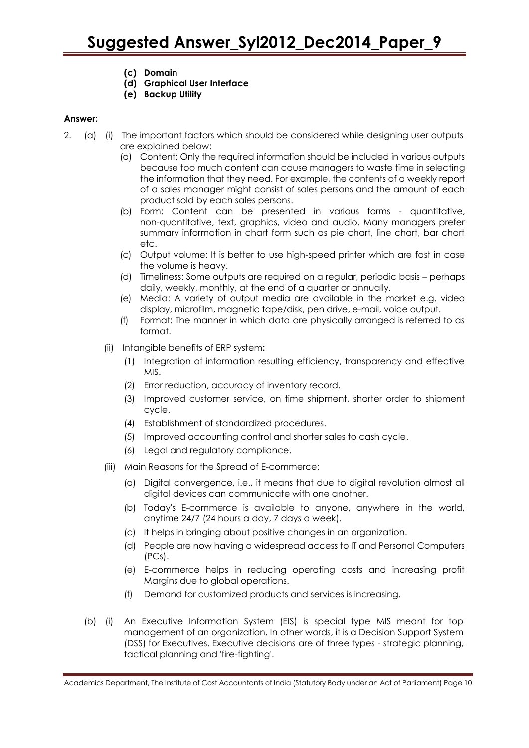- **(c) Domain**
- **(d) Graphical User Interface**
- **(e) Backup Utility**

#### **Answer:**

- 2. (a) (i) The important factors which should be considered while designing user outputs are explained below:
	- (a) Content: Only the required information should be included in various outputs because too much content can cause managers to waste time in selecting the information that they need. For example, the contents of a weekly report of a sales manager might consist of sales persons and the amount of each product sold by each sales persons.
	- (b) Form: Content can be presented in various forms quantitative, non-quantitative, text, graphics, video and audio. Many managers prefer summary information in chart form such as pie chart, line chart, bar chart etc.
	- (c) Output volume: It is better to use high-speed printer which are fast in case the volume is heavy.
	- (d) Timeliness: Some outputs are required on a regular, periodic basis perhaps daily, weekly, monthly, at the end of a quarter or annually.
	- (e) Media: A variety of output media are available in the market e.g. video display, microfilm, magnetic tape/disk, pen drive, e-mail, voice output.
	- (f) Format: The manner in which data are physically arranged is referred to as format.
	- (ii) Intangible benefits of ERP system**:** 
		- (1) Integration of information resulting efficiency, transparency and effective MIS.
		- (2) Error reduction, accuracy of inventory record.
		- (3) Improved customer service, on time shipment, shorter order to shipment cycle.
		- (4) Establishment of standardized procedures.
		- (5) Improved accounting control and shorter sales to cash cycle.
		- (6) Legal and regulatory compliance.
	- (iii) Main Reasons for the Spread of E-commerce:
		- (a) Digital convergence, i.e., it means that due to digital revolution almost all digital devices can communicate with one another.
		- (b) Today's E-commerce is available to anyone, anywhere in the world, anytime 24/7 (24 hours a day, 7 days a week).
		- (c) It helps in bringing about positive changes in an organization.
		- (d) People are now having a widespread access to IT and Personal Computers (PCs).
		- (e) E-commerce helps in reducing operating costs and increasing profit Margins due to global operations.
		- (f) Demand for customized products and services is increasing.
	- (b) (i) An Executive Information System (EIS) is special type MIS meant for top management of an organization. In other words, it is a Decision Support System (DSS) for Executives. Executive decisions are of three types - strategic planning, tactical planning and 'fire-fighting'.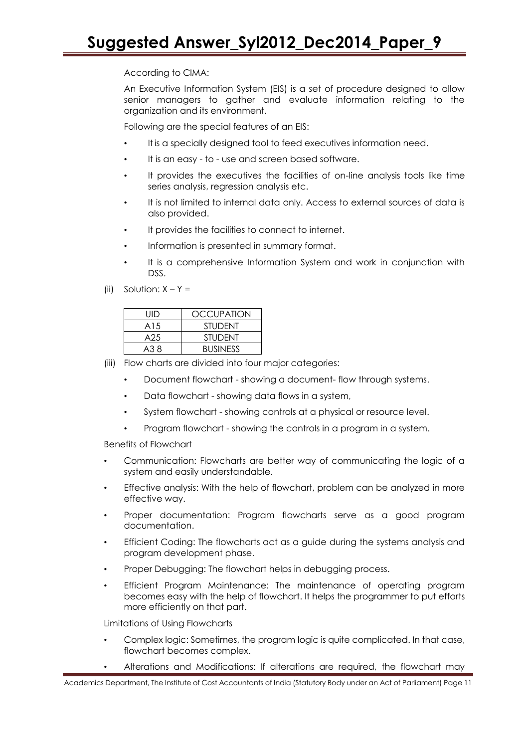#### According to CIMA:

An Executive Information System (EIS) is a set of procedure designed to allow senior managers to gather and evaluate information relating to the organization and its environment.

Following are the special features of an EIS:

- It is a specially designed tool to feed executives information need.
- It is an easy to use and screen based software.
- It provides the executives the facilities of on-line analysis tools like time series analysis, regression analysis etc.
- It is not limited to internal data only. Access to external sources of data is also provided.
- It provides the facilities to connect to internet.
- Information is presented in summary format.
- It is a comprehensive Information System and work in conjunction with DSS.
- (ii) Solution:  $X Y =$

| liid | <b>OCCUPATION</b> |
|------|-------------------|
| A15  | <b>STUDENT</b>    |
| A25  | <b>STUDENT</b>    |
| A3 8 | <b>BUSINESS</b>   |

- (iii) Flow charts are divided into four major categories:
	- Document flowchart showing a document- flow through systems.
	- Data flowchart showing data flows in a system,
	- System flowchart showing controls at a physical or resource level.
	- Program flowchart showing the controls in a program in a system.

Benefits of Flowchart

- Communication: Flowcharts are better way of communicating the logic of a system and easily understandable.
- Effective analysis: With the help of flowchart, problem can be analyzed in more effective way.
- Proper documentation: Program flowcharts serve as a good program documentation.
- Efficient Coding: The flowcharts act as a guide during the systems analysis and program development phase.
- Proper Debugging: The flowchart helps in debugging process.
- Efficient Program Maintenance: The maintenance of operating program becomes easy with the help of flowchart. It helps the programmer to put efforts more efficiently on that part.

Limitations of Using Flowcharts

- Complex logic: Sometimes, the program logic is quite complicated. In that case, flowchart becomes complex.
- Alterations and Modifications: If alterations are required, the flowchart may